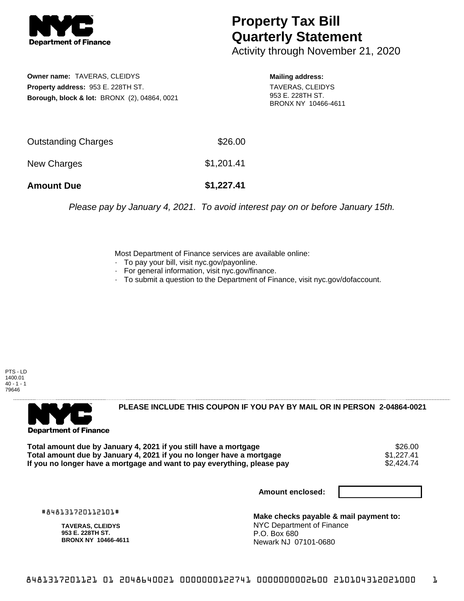

## **Property Tax Bill Quarterly Statement**

Activity through November 21, 2020

**Owner name:** TAVERAS, CLEIDYS **Property address:** 953 E. 228TH ST. **Borough, block & lot:** BRONX (2), 04864, 0021 **Mailing address:**

TAVERAS, CLEIDYS 953 E. 228TH ST. BRONX NY 10466-4611

| <b>Amount Due</b>   | \$1,227.41 |
|---------------------|------------|
| New Charges         | \$1,201.41 |
| Outstanding Charges | \$26.00    |

Please pay by January 4, 2021. To avoid interest pay on or before January 15th.

Most Department of Finance services are available online:

- · To pay your bill, visit nyc.gov/payonline.
- For general information, visit nyc.gov/finance.
- · To submit a question to the Department of Finance, visit nyc.gov/dofaccount.

PTS - LD 1400.01  $40 - 1 - 1$ 79646



**PLEASE INCLUDE THIS COUPON IF YOU PAY BY MAIL OR IN PERSON 2-04864-0021** 

Total amount due by January 4, 2021 if you still have a mortgage \$26.00<br>Total amount due by January 4, 2021 if you no longer have a mortgage \$1.227.41 **Total amount due by January 4, 2021 if you no longer have a mortgage**  $$1,227.41$$ **<br>If you no longer have a mortgage and want to pay everything, please pay**  $$2.424.74$$ If you no longer have a mortgage and want to pay everything, please pay

**Amount enclosed:**

#848131720112101#

**TAVERAS, CLEIDYS 953 E. 228TH ST. BRONX NY 10466-4611**

**Make checks payable & mail payment to:** NYC Department of Finance P.O. Box 680 Newark NJ 07101-0680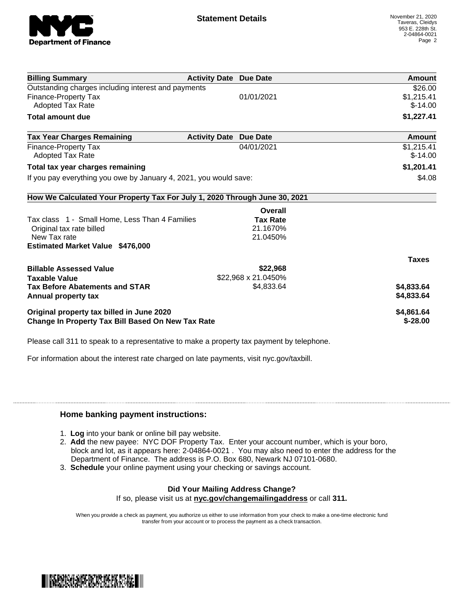

| <b>Billing Summary</b>                                                     | <b>Activity Date Due Date</b> |                     | Amount       |
|----------------------------------------------------------------------------|-------------------------------|---------------------|--------------|
| Outstanding charges including interest and payments                        |                               |                     | \$26.00      |
| <b>Finance-Property Tax</b>                                                |                               | 01/01/2021          | \$1,215.41   |
| <b>Adopted Tax Rate</b>                                                    |                               |                     | $$-14.00$    |
| <b>Total amount due</b>                                                    |                               |                     | \$1,227.41   |
| <b>Tax Year Charges Remaining</b>                                          | <b>Activity Date</b>          | <b>Due Date</b>     | Amount       |
| <b>Finance-Property Tax</b>                                                |                               | 04/01/2021          | \$1,215.41   |
| <b>Adopted Tax Rate</b>                                                    |                               |                     | $$-14.00$    |
| Total tax year charges remaining                                           |                               |                     | \$1,201.41   |
| If you pay everything you owe by January 4, 2021, you would save:          |                               |                     | \$4.08       |
| How We Calculated Your Property Tax For July 1, 2020 Through June 30, 2021 |                               |                     |              |
|                                                                            |                               | Overall             |              |
| Tax class 1 - Small Home, Less Than 4 Families                             |                               | <b>Tax Rate</b>     |              |
| Original tax rate billed                                                   |                               | 21.1670%            |              |
| New Tax rate                                                               |                               | 21.0450%            |              |
| <b>Estimated Market Value \$476,000</b>                                    |                               |                     |              |
|                                                                            |                               |                     | <b>Taxes</b> |
| <b>Billable Assessed Value</b>                                             |                               | \$22,968            |              |
| <b>Taxable Value</b>                                                       |                               | \$22,968 x 21.0450% |              |
| <b>Tax Before Abatements and STAR</b>                                      |                               | \$4,833.64          | \$4,833.64   |
| Annual property tax                                                        |                               |                     | \$4,833.64   |
| Original property tax billed in June 2020                                  |                               |                     | \$4,861.64   |
| <b>Change In Property Tax Bill Based On New Tax Rate</b>                   |                               |                     | $$ -28.00$   |

Please call 311 to speak to a representative to make a property tax payment by telephone.

For information about the interest rate charged on late payments, visit nyc.gov/taxbill.

## **Home banking payment instructions:**

- 1. **Log** into your bank or online bill pay website.
- 2. **Add** the new payee: NYC DOF Property Tax. Enter your account number, which is your boro, block and lot, as it appears here: 2-04864-0021 . You may also need to enter the address for the Department of Finance. The address is P.O. Box 680, Newark NJ 07101-0680.
- 3. **Schedule** your online payment using your checking or savings account.

## **Did Your Mailing Address Change?**

If so, please visit us at **nyc.gov/changemailingaddress** or call **311.**

When you provide a check as payment, you authorize us either to use information from your check to make a one-time electronic fund transfer from your account or to process the payment as a check transaction.